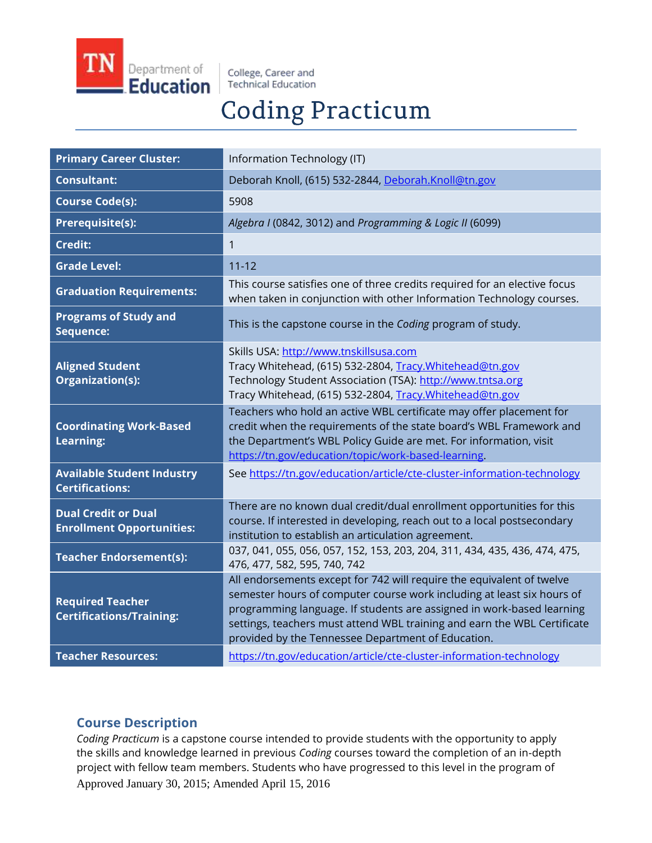

College, Career and **Technical Education** 

# **Coding Practicum**

| <b>Primary Career Cluster:</b>                                 | Information Technology (IT)                                                                                                                                                                                                                                                                                                                                |
|----------------------------------------------------------------|------------------------------------------------------------------------------------------------------------------------------------------------------------------------------------------------------------------------------------------------------------------------------------------------------------------------------------------------------------|
| <b>Consultant:</b>                                             | Deborah Knoll, (615) 532-2844, Deborah.Knoll@tn.gov                                                                                                                                                                                                                                                                                                        |
| <b>Course Code(s):</b>                                         | 5908                                                                                                                                                                                                                                                                                                                                                       |
| Prerequisite(s):                                               | Algebra I (0842, 3012) and Programming & Logic II (6099)                                                                                                                                                                                                                                                                                                   |
| <b>Credit:</b>                                                 | 1                                                                                                                                                                                                                                                                                                                                                          |
| <b>Grade Level:</b>                                            | $11 - 12$                                                                                                                                                                                                                                                                                                                                                  |
| <b>Graduation Requirements:</b>                                | This course satisfies one of three credits required for an elective focus<br>when taken in conjunction with other Information Technology courses.                                                                                                                                                                                                          |
| <b>Programs of Study and</b><br>Sequence:                      | This is the capstone course in the Coding program of study.                                                                                                                                                                                                                                                                                                |
| <b>Aligned Student</b><br>Organization(s):                     | Skills USA: http://www.tnskillsusa.com<br>Tracy Whitehead, (615) 532-2804, Tracy. Whitehead@tn.gov<br>Technology Student Association (TSA): http://www.tntsa.org<br>Tracy Whitehead, (615) 532-2804, Tracy. Whitehead@tn.gov                                                                                                                               |
| <b>Coordinating Work-Based</b><br><b>Learning:</b>             | Teachers who hold an active WBL certificate may offer placement for<br>credit when the requirements of the state board's WBL Framework and<br>the Department's WBL Policy Guide are met. For information, visit<br>https://tn.gov/education/topic/work-based-learning.                                                                                     |
| <b>Available Student Industry</b><br><b>Certifications:</b>    | See https://tn.gov/education/article/cte-cluster-information-technology                                                                                                                                                                                                                                                                                    |
| <b>Dual Credit or Dual</b><br><b>Enrollment Opportunities:</b> | There are no known dual credit/dual enrollment opportunities for this<br>course. If interested in developing, reach out to a local postsecondary<br>institution to establish an articulation agreement.                                                                                                                                                    |
| <b>Teacher Endorsement(s):</b>                                 | 037, 041, 055, 056, 057, 152, 153, 203, 204, 311, 434, 435, 436, 474, 475,<br>476, 477, 582, 595, 740, 742                                                                                                                                                                                                                                                 |
| <b>Required Teacher</b><br><b>Certifications/Training:</b>     | All endorsements except for 742 will require the equivalent of twelve<br>semester hours of computer course work including at least six hours of<br>programming language. If students are assigned in work-based learning<br>settings, teachers must attend WBL training and earn the WBL Certificate<br>provided by the Tennessee Department of Education. |
| <b>Teacher Resources:</b>                                      | https://tn.gov/education/article/cte-cluster-information-technology                                                                                                                                                                                                                                                                                        |

## **Course Description**

Approved January 30, 2015; Amended April 15, 2016 *Coding Practicum* is a capstone course intended to provide students with the opportunity to apply the skills and knowledge learned in previous *Coding* courses toward the completion of an in-depth project with fellow team members. Students who have progressed to this level in the program of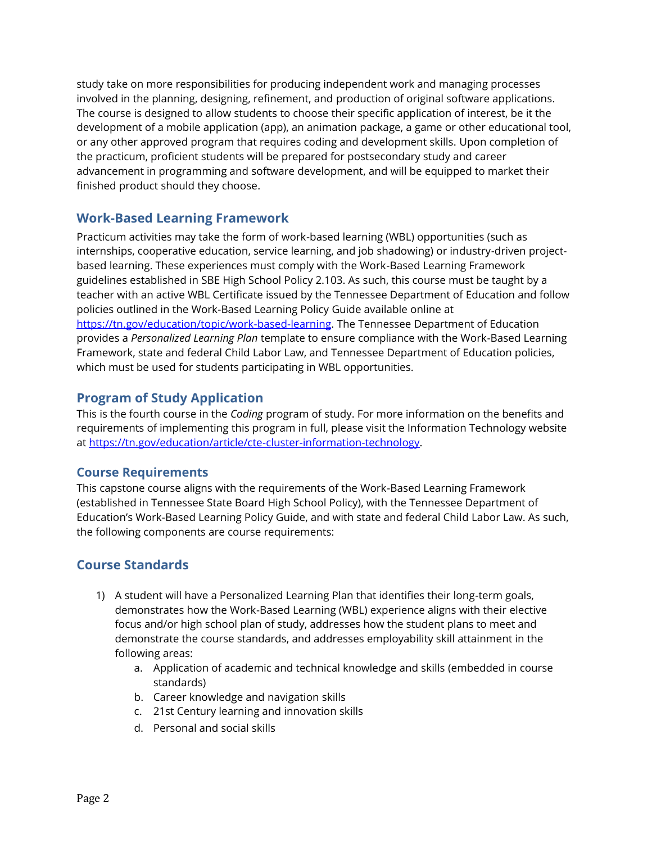study take on more responsibilities for producing independent work and managing processes involved in the planning, designing, refinement, and production of original software applications. The course is designed to allow students to choose their specific application of interest, be it the development of a mobile application (app), an animation package, a game or other educational tool, or any other approved program that requires coding and development skills. Upon completion of the practicum, proficient students will be prepared for postsecondary study and career advancement in programming and software development, and will be equipped to market their finished product should they choose.

## **Work-Based Learning Framework**

Practicum activities may take the form of work-based learning (WBL) opportunities (such as internships, cooperative education, service learning, and job shadowing) or industry-driven projectbased learning. These experiences must comply with the Work-Based Learning Framework guidelines established in SBE High School Policy 2.103. As such, this course must be taught by a teacher with an active WBL Certificate issued by the Tennessee Department of Education and follow policies outlined in the Work-Based Learning Policy Guide available online at [https://tn.gov/education/topic/work-based-learning.](https://tn.gov/education/topic/work-based-learning) The Tennessee Department of Education provides a *Personalized Learning Plan* template to ensure compliance with the Work-Based Learning Framework, state and federal Child Labor Law, and Tennessee Department of Education policies, which must be used for students participating in WBL opportunities.

## **Program of Study Application**

This is the fourth course in the *Coding* program of study. For more information on the benefits and requirements of implementing this program in full, please visit the Information Technology website a[t https://tn.gov/education/article/cte-cluster-information-technology.](https://tn.gov/education/article/cte-cluster-information-technology) 

## **Course Requirements**

This capstone course aligns with the requirements of the Work-Based Learning Framework (established in Tennessee State Board High School Policy), with the Tennessee Department of Education's Work-Based Learning Policy Guide, and with state and federal Child Labor Law. As such, the following components are course requirements:

## **Course Standards**

- 1) A student will have a Personalized Learning Plan that identifies their long-term goals, demonstrates how the Work-Based Learning (WBL) experience aligns with their elective focus and/or high school plan of study, addresses how the student plans to meet and demonstrate the course standards, and addresses employability skill attainment in the following areas:
	- a. Application of academic and technical knowledge and skills (embedded in course standards)
	- b. Career knowledge and navigation skills
	- c. 21st Century learning and innovation skills
	- d. Personal and social skills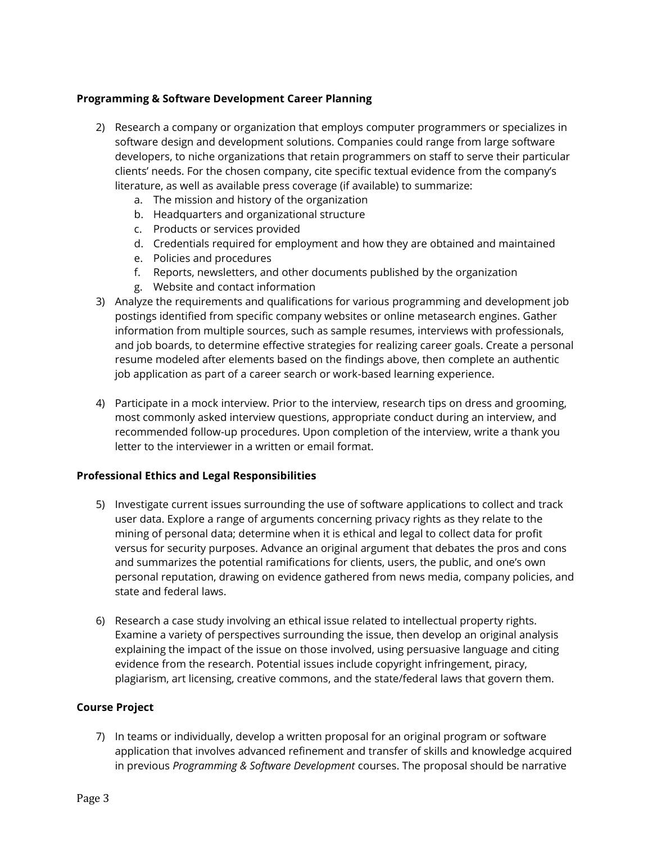#### **Programming & Software Development Career Planning**

- 2) Research a company or organization that employs computer programmers or specializes in software design and development solutions. Companies could range from large software developers, to niche organizations that retain programmers on staff to serve their particular clients' needs. For the chosen company, cite specific textual evidence from the company's literature, as well as available press coverage (if available) to summarize:
	- a. The mission and history of the organization
	- b. Headquarters and organizational structure
	- c. Products or services provided
	- d. Credentials required for employment and how they are obtained and maintained
	- e. Policies and procedures
	- f. Reports, newsletters, and other documents published by the organization
	- g. Website and contact information
- 3) Analyze the requirements and qualifications for various programming and development job postings identified from specific company websites or online metasearch engines. Gather information from multiple sources, such as sample resumes, interviews with professionals, and job boards, to determine effective strategies for realizing career goals. Create a personal resume modeled after elements based on the findings above, then complete an authentic job application as part of a career search or work-based learning experience.
- 4) Participate in a mock interview. Prior to the interview, research tips on dress and grooming, most commonly asked interview questions, appropriate conduct during an interview, and recommended follow-up procedures. Upon completion of the interview, write a thank you letter to the interviewer in a written or email format.

#### **Professional Ethics and Legal Responsibilities**

- 5) Investigate current issues surrounding the use of software applications to collect and track user data. Explore a range of arguments concerning privacy rights as they relate to the mining of personal data; determine when it is ethical and legal to collect data for profit versus for security purposes. Advance an original argument that debates the pros and cons and summarizes the potential ramifications for clients, users, the public, and one's own personal reputation, drawing on evidence gathered from news media, company policies, and state and federal laws.
- 6) Research a case study involving an ethical issue related to intellectual property rights. Examine a variety of perspectives surrounding the issue, then develop an original analysis explaining the impact of the issue on those involved, using persuasive language and citing evidence from the research. Potential issues include copyright infringement, piracy, plagiarism, art licensing, creative commons, and the state/federal laws that govern them.

#### **Course Project**

7) In teams or individually, develop a written proposal for an original program or software application that involves advanced refinement and transfer of skills and knowledge acquired in previous *Programming & Software Development* courses. The proposal should be narrative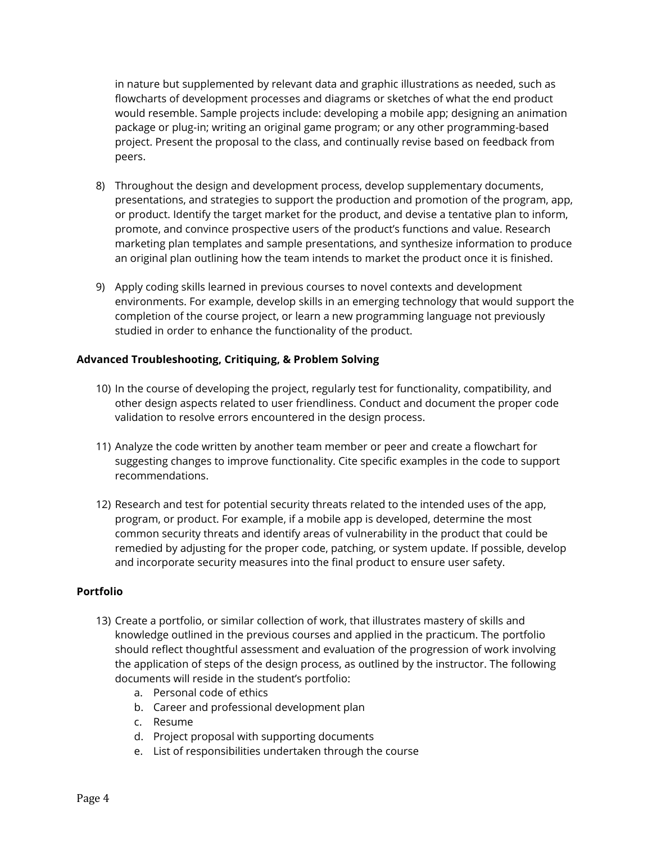in nature but supplemented by relevant data and graphic illustrations as needed, such as flowcharts of development processes and diagrams or sketches of what the end product would resemble. Sample projects include: developing a mobile app; designing an animation package or plug-in; writing an original game program; or any other programming-based project. Present the proposal to the class, and continually revise based on feedback from peers.

- 8) Throughout the design and development process, develop supplementary documents, presentations, and strategies to support the production and promotion of the program, app, or product. Identify the target market for the product, and devise a tentative plan to inform, promote, and convince prospective users of the product's functions and value. Research marketing plan templates and sample presentations, and synthesize information to produce an original plan outlining how the team intends to market the product once it is finished.
- 9) Apply coding skills learned in previous courses to novel contexts and development environments. For example, develop skills in an emerging technology that would support the completion of the course project, or learn a new programming language not previously studied in order to enhance the functionality of the product.

### **Advanced Troubleshooting, Critiquing, & Problem Solving**

- 10) In the course of developing the project, regularly test for functionality, compatibility, and other design aspects related to user friendliness. Conduct and document the proper code validation to resolve errors encountered in the design process.
- 11) Analyze the code written by another team member or peer and create a flowchart for suggesting changes to improve functionality. Cite specific examples in the code to support recommendations.
- 12) Research and test for potential security threats related to the intended uses of the app, program, or product. For example, if a mobile app is developed, determine the most common security threats and identify areas of vulnerability in the product that could be remedied by adjusting for the proper code, patching, or system update. If possible, develop and incorporate security measures into the final product to ensure user safety.

#### **Portfolio**

- 13) Create a portfolio, or similar collection of work, that illustrates mastery of skills and knowledge outlined in the previous courses and applied in the practicum. The portfolio should reflect thoughtful assessment and evaluation of the progression of work involving the application of steps of the design process, as outlined by the instructor. The following documents will reside in the student's portfolio:
	- a. Personal code of ethics
	- b. Career and professional development plan
	- c. Resume
	- d. Project proposal with supporting documents
	- e. List of responsibilities undertaken through the course